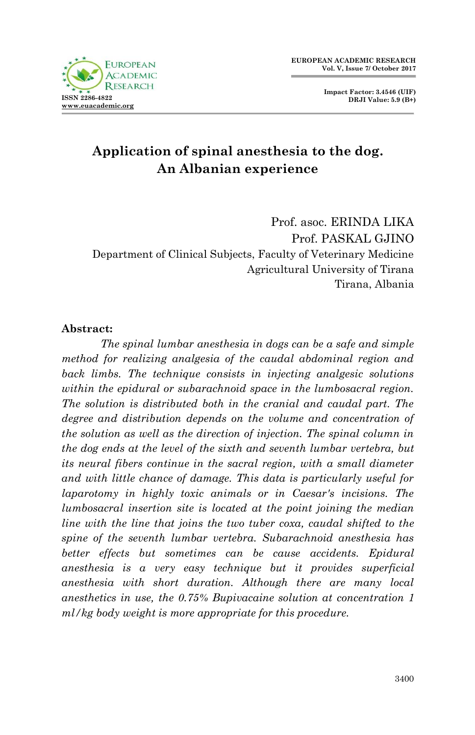**Impact Factor: 3.4546 (UIF) DRJI Value: 5.9 (B+)**

# **Application of spinal anesthesia to the dog. An Albanian experience**

Prof. asoc. ERINDA LIKA Prof. PASKAL GJINO Department of Clinical Subjects, Faculty of Veterinary Medicine Agricultural University of Tirana Tirana, Albania

#### **Abstract:**

*The spinal lumbar anesthesia in dogs can be a safe and simple method for realizing analgesia of the caudal abdominal region and back limbs. The technique consists in injecting analgesic solutions within the epidural or subarachnoid space in the lumbosacral region. The solution is distributed both in the cranial and caudal part. The degree and distribution depends on the volume and concentration of the solution as well as the direction of injection. The spinal column in the dog ends at the level of the sixth and seventh lumbar vertebra, but its neural fibers continue in the sacral region, with a small diameter and with little chance of damage. This data is particularly useful for laparotomy in highly toxic animals or in Caesar's incisions. The lumbosacral insertion site is located at the point joining the median line with the line that joins the two tuber coxa, caudal shifted to the spine of the seventh lumbar vertebra. Subarachnoid anesthesia has better effects but sometimes can be cause accidents. Epidural anesthesia is a very easy technique but it provides superficial anesthesia with short duration. Although there are many local anesthetics in use, the 0.75% Bupivacaine solution at concentration 1 ml/kg body weight is more appropriate for this procedure.*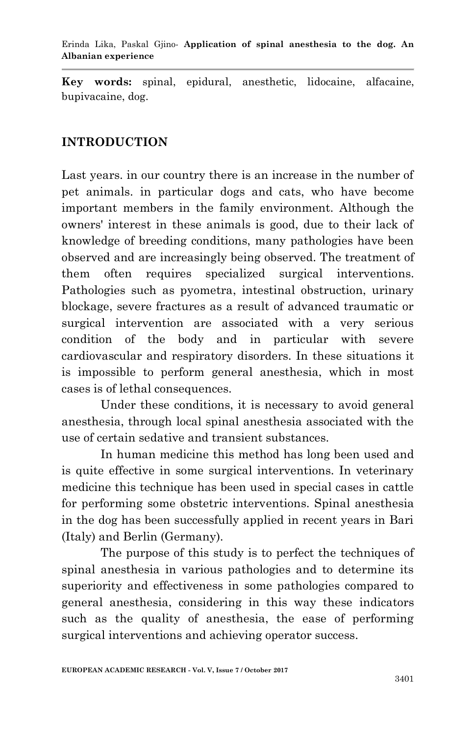**Key words:** spinal, epidural, anesthetic, lidocaine, alfacaine, bupivacaine, dog.

#### **INTRODUCTION**

Last years. in our country there is an increase in the number of pet animals. in particular dogs and cats, who have become important members in the family environment. Although the owners' interest in these animals is good, due to their lack of knowledge of breeding conditions, many pathologies have been observed and are increasingly being observed. The treatment of them often requires specialized surgical interventions. Pathologies such as pyometra, intestinal obstruction, urinary blockage, severe fractures as a result of advanced traumatic or surgical intervention are associated with a very serious condition of the body and in particular with severe cardiovascular and respiratory disorders. In these situations it is impossible to perform general anesthesia, which in most cases is of lethal consequences.

Under these conditions, it is necessary to avoid general anesthesia, through local spinal anesthesia associated with the use of certain sedative and transient substances.

In human medicine this method has long been used and is quite effective in some surgical interventions. In veterinary medicine this technique has been used in special cases in cattle for performing some obstetric interventions. Spinal anesthesia in the dog has been successfully applied in recent years in Bari (Italy) and Berlin (Germany).

The purpose of this study is to perfect the techniques of spinal anesthesia in various pathologies and to determine its superiority and effectiveness in some pathologies compared to general anesthesia, considering in this way these indicators such as the quality of anesthesia, the ease of performing surgical interventions and achieving operator success.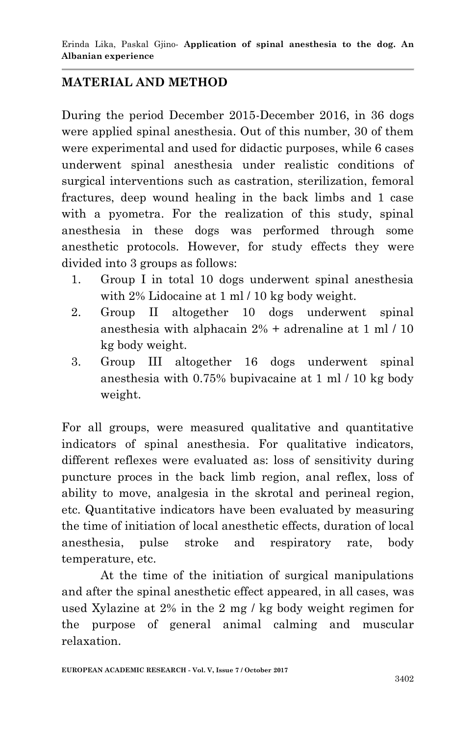## **MATERIAL AND METHOD**

During the period December 2015-December 2016, in 36 dogs were applied spinal anesthesia. Out of this number, 30 of them were experimental and used for didactic purposes, while 6 cases underwent spinal anesthesia under realistic conditions of surgical interventions such as castration, sterilization, femoral fractures, deep wound healing in the back limbs and 1 case with a pyometra. For the realization of this study, spinal anesthesia in these dogs was performed through some anesthetic protocols. However, for study effects they were divided into 3 groups as follows:

- 1. Group I in total 10 dogs underwent spinal anesthesia with 2% Lidocaine at 1 ml / 10 kg body weight.
- 2. Group II altogether 10 dogs underwent spinal anesthesia with alphacain 2% + adrenaline at 1 ml / 10 kg body weight.
- 3. Group III altogether 16 dogs underwent spinal anesthesia with 0.75% bupivacaine at 1 ml / 10 kg body weight.

For all groups, were measured qualitative and quantitative indicators of spinal anesthesia. For qualitative indicators, different reflexes were evaluated as: loss of sensitivity during puncture proces in the back limb region, anal reflex, loss of ability to move, analgesia in the skrotal and perineal region, etc. Quantitative indicators have been evaluated by measuring the time of initiation of local anesthetic effects, duration of local anesthesia, pulse stroke and respiratory rate, body temperature, etc.

At the time of the initiation of surgical manipulations and after the spinal anesthetic effect appeared, in all cases, was used Xylazine at 2% in the 2 mg / kg body weight regimen for the purpose of general animal calming and muscular relaxation.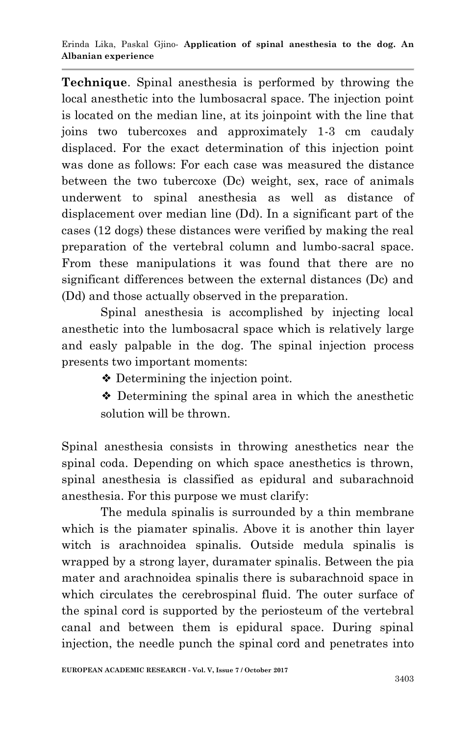**Technique**. Spinal anesthesia is performed by throwing the local anesthetic into the lumbosacral space. The injection point is located on the median line, at its joinpoint with the line that joins two tubercoxes and approximately 1-3 cm caudaly displaced. For the exact determination of this injection point was done as follows: For each case was measured the distance between the two tubercoxe (Dc) weight, sex, race of animals underwent to spinal anesthesia as well as distance of displacement over median line (Dd). In a significant part of the cases (12 dogs) these distances were verified by making the real preparation of the vertebral column and lumbo-sacral space. From these manipulations it was found that there are no significant differences between the external distances (Dc) and (Dd) and those actually observed in the preparation.

Spinal anesthesia is accomplished by injecting local anesthetic into the lumbosacral space which is relatively large and easly palpable in the dog. The spinal injection process presents two important moments:

❖ Determining the injection point.

❖ Determining the spinal area in which the anesthetic solution will be thrown.

Spinal anesthesia consists in throwing anesthetics near the spinal coda. Depending on which space anesthetics is thrown, spinal anesthesia is classified as epidural and subarachnoid anesthesia. For this purpose we must clarify:

The medula spinalis is surrounded by a thin membrane which is the piamater spinalis. Above it is another thin layer witch is arachnoidea spinalis. Outside medula spinalis is wrapped by a strong layer, duramater spinalis. Between the pia mater and arachnoidea spinalis there is subarachnoid space in which circulates the cerebrospinal fluid. The outer surface of the spinal cord is supported by the periosteum of the vertebral canal and between them is epidural space. During spinal injection, the needle punch the spinal cord and penetrates into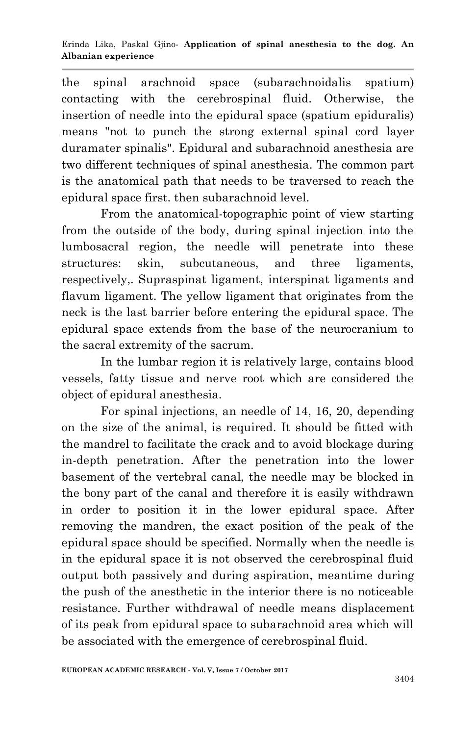the spinal arachnoid space (subarachnoidalis spatium) contacting with the cerebrospinal fluid. Otherwise, the insertion of needle into the epidural space (spatium epiduralis) means "not to punch the strong external spinal cord layer duramater spinalis". Epidural and subarachnoid anesthesia are two different techniques of spinal anesthesia. The common part is the anatomical path that needs to be traversed to reach the epidural space first. then subarachnoid level.

From the anatomical-topographic point of view starting from the outside of the body, during spinal injection into the lumbosacral region, the needle will penetrate into these structures: skin, subcutaneous, and three ligaments, respectively,. Supraspinat ligament, interspinat ligaments and flavum ligament. The yellow ligament that originates from the neck is the last barrier before entering the epidural space. The epidural space extends from the base of the neurocranium to the sacral extremity of the sacrum.

In the lumbar region it is relatively large, contains blood vessels, fatty tissue and nerve root which are considered the object of epidural anesthesia.

For spinal injections, an needle of 14, 16, 20, depending on the size of the animal, is required. It should be fitted with the mandrel to facilitate the crack and to avoid blockage during in-depth penetration. After the penetration into the lower basement of the vertebral canal, the needle may be blocked in the bony part of the canal and therefore it is easily withdrawn in order to position it in the lower epidural space. After removing the mandren, the exact position of the peak of the epidural space should be specified. Normally when the needle is in the epidural space it is not observed the cerebrospinal fluid output both passively and during aspiration, meantime during the push of the anesthetic in the interior there is no noticeable resistance. Further withdrawal of needle means displacement of its peak from epidural space to subarachnoid area which will be associated with the emergence of cerebrospinal fluid.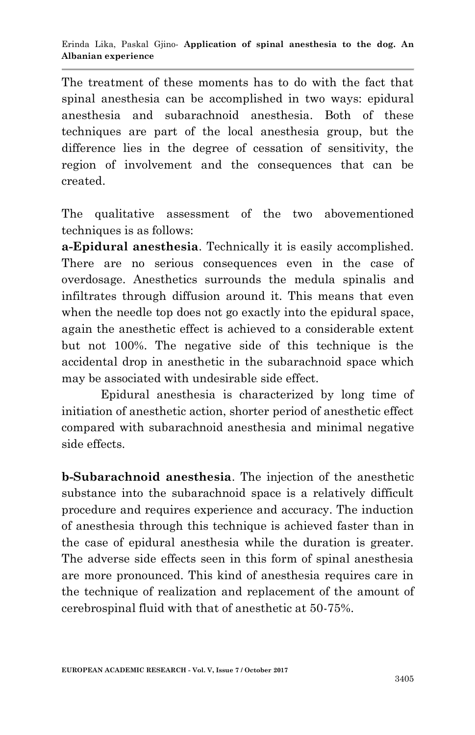The treatment of these moments has to do with the fact that spinal anesthesia can be accomplished in two ways: epidural anesthesia and subarachnoid anesthesia. Both of these techniques are part of the local anesthesia group, but the difference lies in the degree of cessation of sensitivity, the region of involvement and the consequences that can be created.

The qualitative assessment of the two abovementioned techniques is as follows:

**a-Epidural anesthesia**. Technically it is easily accomplished. There are no serious consequences even in the case of overdosage. Anesthetics surrounds the medula spinalis and infiltrates through diffusion around it. This means that even when the needle top does not go exactly into the epidural space, again the anesthetic effect is achieved to a considerable extent but not 100%. The negative side of this technique is the accidental drop in anesthetic in the subarachnoid space which may be associated with undesirable side effect.

Epidural anesthesia is characterized by long time of initiation of anesthetic action, shorter period of anesthetic effect compared with subarachnoid anesthesia and minimal negative side effects.

**b-Subarachnoid anesthesia**. The injection of the anesthetic substance into the subarachnoid space is a relatively difficult procedure and requires experience and accuracy. The induction of anesthesia through this technique is achieved faster than in the case of epidural anesthesia while the duration is greater. The adverse side effects seen in this form of spinal anesthesia are more pronounced. This kind of anesthesia requires care in the technique of realization and replacement of the amount of cerebrospinal fluid with that of anesthetic at 50-75%.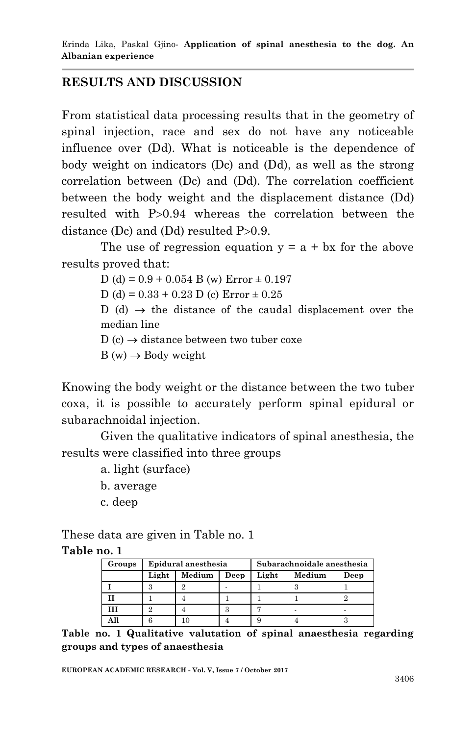### **RESULTS AND DISCUSSION**

From statistical data processing results that in the geometry of spinal injection, race and sex do not have any noticeable influence over (Dd). What is noticeable is the dependence of body weight on indicators (Dc) and (Dd), as well as the strong correlation between (Dc) and (Dd). The correlation coefficient between the body weight and the displacement distance (Dd) resulted with P>0.94 whereas the correlation between the distance (Dc) and (Dd) resulted  $P>0.9$ .

The use of regression equation  $y = a + bx$  for the above results proved that:

D (d) =  $0.9 + 0.054$  B (w) Error  $\pm 0.197$ D (d) =  $0.33 + 0.23$  D (c) Error  $\pm 0.25$ D (d)  $\rightarrow$  the distance of the caudal displacement over the median line  $D(c) \rightarrow distance between two tube roots$  $B(w) \rightarrow Body weight$ 

Knowing the body weight or the distance between the two tuber coxa, it is possible to accurately perform spinal epidural or subarachnoidal injection.

Given the qualitative indicators of spinal anesthesia, the results were classified into three groups

- a. light (surface)
- b. average
- c. deep

These data are given in Table no. 1 **Table no. 1**

| Groups | Epidural anesthesia |        |         | Subarachnoidale anesthesia |        |      |
|--------|---------------------|--------|---------|----------------------------|--------|------|
|        | Light               | Medium | Deep    | Light                      | Medium | Deep |
|        |                     |        |         |                            |        |      |
|        |                     |        |         |                            |        |      |
|        |                     |        | o<br>., |                            |        |      |
|        |                     |        |         |                            |        |      |

**Table no. 1 Qualitative valutation of spinal anaesthesia regarding groups and types of anaesthesia**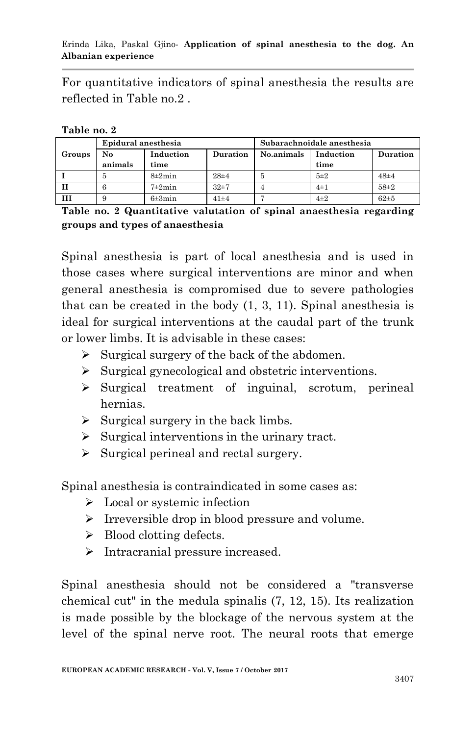Erinda Lika, Paskal Gjino*-* **Application of spinal anesthesia to the dog. An Albanian experience**

For quantitative indicators of spinal anesthesia the results are reflected in Table no.2 .

| Table no. 2 |  |
|-------------|--|
|-------------|--|

|        | Epidural anesthesia |                   |          | Subarachnoidale anesthesia |           |          |
|--------|---------------------|-------------------|----------|----------------------------|-----------|----------|
| Groups | No                  | Induction         | Duration | No.animals                 | Induction | Duration |
|        | animals             | time              |          |                            | time      |          |
|        | Ð                   | $8\pm2$ min       | $28 + 4$ | Ð                          | $5\pm2$   | $48 + 4$ |
|        |                     | $7\pm2\text{min}$ | $32 + 7$ |                            | $4\pm1$   | $58 + 2$ |
|        |                     | $6\pm 3$ min      | $41 + 4$ |                            | $4\pm 2$  | $62 + 5$ |

**Table no. 2 Quantitative valutation of spinal anaesthesia regarding groups and types of anaesthesia**

Spinal anesthesia is part of local anesthesia and is used in those cases where surgical interventions are minor and when general anesthesia is compromised due to severe pathologies that can be created in the body (1, 3, 11). Spinal anesthesia is ideal for surgical interventions at the caudal part of the trunk or lower limbs. It is advisable in these cases:

- $\triangleright$  Surgical surgery of the back of the abdomen.
- $\triangleright$  Surgical gynecological and obstetric interventions.
- $\triangleright$  Surgical treatment of inguinal, scrotum, perineal hernias.
- $\triangleright$  Surgical surgery in the back limbs.
- $\triangleright$  Surgical interventions in the urinary tract.
- $\triangleright$  Surgical perineal and rectal surgery.

Spinal anesthesia is contraindicated in some cases as:

- $\triangleright$  Local or systemic infection
- $\triangleright$  Irreversible drop in blood pressure and volume.
- $\triangleright$  Blood clotting defects.
- $\triangleright$  Intracranial pressure increased.

Spinal anesthesia should not be considered a "transverse chemical cut" in the medula spinalis (7, 12, 15). Its realization is made possible by the blockage of the nervous system at the level of the spinal nerve root. The neural roots that emerge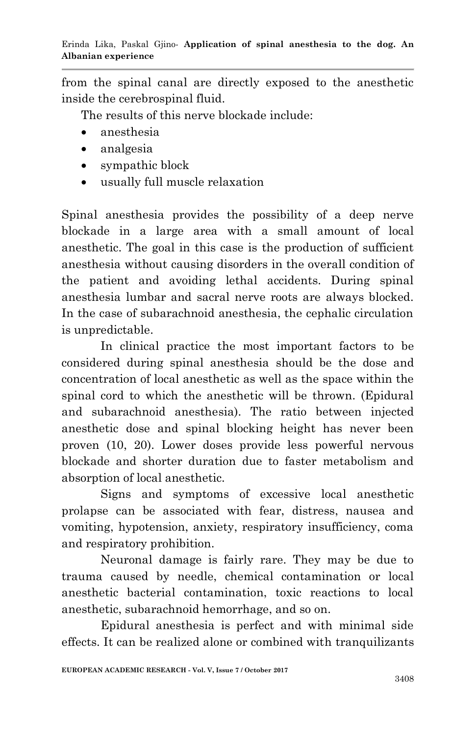from the spinal canal are directly exposed to the anesthetic inside the cerebrospinal fluid.

The results of this nerve blockade include:

- anesthesia
- analgesia
- sympathic block
- usually full muscle relaxation

Spinal anesthesia provides the possibility of a deep nerve blockade in a large area with a small amount of local anesthetic. The goal in this case is the production of sufficient anesthesia without causing disorders in the overall condition of the patient and avoiding lethal accidents. During spinal anesthesia lumbar and sacral nerve roots are always blocked. In the case of subarachnoid anesthesia, the cephalic circulation is unpredictable.

In clinical practice the most important factors to be considered during spinal anesthesia should be the dose and concentration of local anesthetic as well as the space within the spinal cord to which the anesthetic will be thrown. (Epidural and subarachnoid anesthesia). The ratio between injected anesthetic dose and spinal blocking height has never been proven (10, 20). Lower doses provide less powerful nervous blockade and shorter duration due to faster metabolism and absorption of local anesthetic.

Signs and symptoms of excessive local anesthetic prolapse can be associated with fear, distress, nausea and vomiting, hypotension, anxiety, respiratory insufficiency, coma and respiratory prohibition.

Neuronal damage is fairly rare. They may be due to trauma caused by needle, chemical contamination or local anesthetic bacterial contamination, toxic reactions to local anesthetic, subarachnoid hemorrhage, and so on.

Epidural anesthesia is perfect and with minimal side effects. It can be realized alone or combined with tranquilizants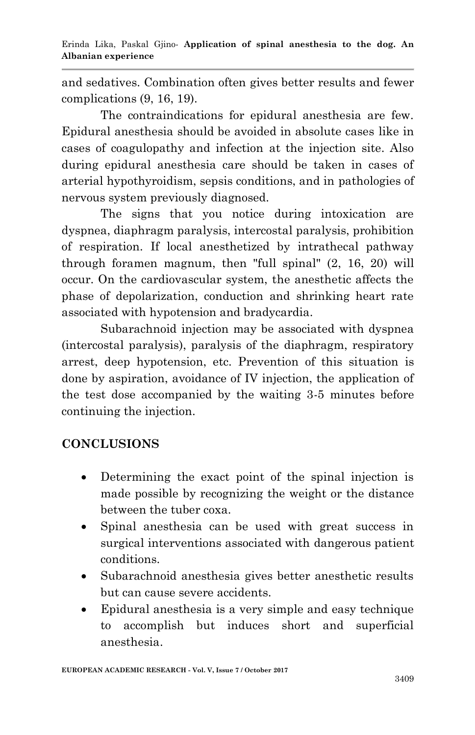and sedatives. Combination often gives better results and fewer complications (9, 16, 19).

The contraindications for epidural anesthesia are few. Epidural anesthesia should be avoided in absolute cases like in cases of coagulopathy and infection at the injection site. Also during epidural anesthesia care should be taken in cases of arterial hypothyroidism, sepsis conditions, and in pathologies of nervous system previously diagnosed.

The signs that you notice during intoxication are dyspnea, diaphragm paralysis, intercostal paralysis, prohibition of respiration. If local anesthetized by intrathecal pathway through foramen magnum, then "full spinal" (2, 16, 20) will occur. On the cardiovascular system, the anesthetic affects the phase of depolarization, conduction and shrinking heart rate associated with hypotension and bradycardia.

Subarachnoid injection may be associated with dyspnea (intercostal paralysis), paralysis of the diaphragm, respiratory arrest, deep hypotension, etc. Prevention of this situation is done by aspiration, avoidance of IV injection, the application of the test dose accompanied by the waiting 3-5 minutes before continuing the injection.

## **CONCLUSIONS**

- Determining the exact point of the spinal injection is made possible by recognizing the weight or the distance between the tuber coxa.
- Spinal anesthesia can be used with great success in surgical interventions associated with dangerous patient conditions.
- Subarachnoid anesthesia gives better anesthetic results but can cause severe accidents.
- Epidural anesthesia is a very simple and easy technique to accomplish but induces short and superficial anesthesia.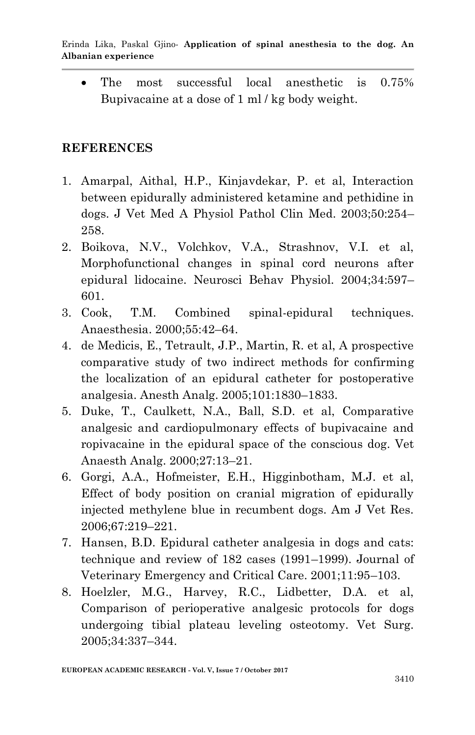The most successful local anesthetic is 0.75% Bupivacaine at a dose of 1 ml / kg body weight.

#### **REFERENCES**

- 1. Amarpal, Aithal, H.P., Kinjavdekar, P. et al, Interaction between epidurally administered ketamine and pethidine in dogs. J Vet Med A Physiol Pathol Clin Med. 2003;50:254– 258.
- 2. Boikova, N.V., Volchkov, V.A., Strashnov, V.I. et al, Morphofunctional changes in spinal cord neurons after epidural lidocaine. Neurosci Behav Physiol. 2004;34:597– 601.
- 3. Cook, T.M. Combined spinal-epidural techniques. Anaesthesia. 2000;55:42–64.
- 4. de Medicis, E., Tetrault, J.P., Martin, R. et al, A prospective comparative study of two indirect methods for confirming the localization of an epidural catheter for postoperative analgesia. Anesth Analg. 2005;101:1830–1833.
- 5. Duke, T., Caulkett, N.A., Ball, S.D. et al, Comparative analgesic and cardiopulmonary effects of bupivacaine and ropivacaine in the epidural space of the conscious dog. Vet Anaesth Analg. 2000;27:13–21.
- 6. Gorgi, A.A., Hofmeister, E.H., Higginbotham, M.J. et al, Effect of body position on cranial migration of epidurally injected methylene blue in recumbent dogs. Am J Vet Res. 2006;67:219–221.
- 7. Hansen, B.D. Epidural catheter analgesia in dogs and cats: technique and review of 182 cases (1991–1999). Journal of Veterinary Emergency and Critical Care. 2001;11:95–103.
- 8. Hoelzler, M.G., Harvey, R.C., Lidbetter, D.A. et al, Comparison of perioperative analgesic protocols for dogs undergoing tibial plateau leveling osteotomy. Vet Surg. 2005;34:337–344.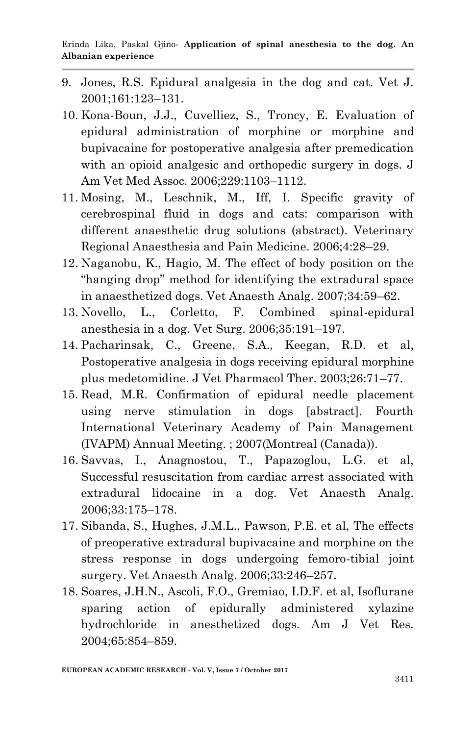- 9. Jones, R.S. Epidural analgesia in the dog and cat. Vet J. 2001;161:123–131.
- 10. Kona-Boun, J.J., Cuvelliez, S., Troncy, E. Evaluation of epidural administration of morphine or morphine and bupivacaine for postoperative analgesia after premedication with an opioid analgesic and orthopedic surgery in dogs. J Am Vet Med Assoc. 2006;229:1103–1112.
- 11. Mosing, M., Leschnik, M., Iff, I. Specific gravity of cerebrospinal fluid in dogs and cats: comparison with different anaesthetic drug solutions (abstract). Veterinary Regional Anaesthesia and Pain Medicine. 2006;4:28–29.
- 12. Naganobu, K., Hagio, M. The effect of body position on the "hanging drop" method for identifying the extradural space in anaesthetized dogs. Vet Anaesth Analg. 2007;34:59–62.
- 13. Novello, L., Corletto, F. Combined spinal-epidural anesthesia in a dog. Vet Surg. 2006;35:191–197.
- 14. Pacharinsak, C., Greene, S.A., Keegan, R.D. et al, Postoperative analgesia in dogs receiving epidural morphine plus medetomidine. J Vet Pharmacol Ther. 2003;26:71–77.
- 15. Read, M.R. Confirmation of epidural needle placement using nerve stimulation in dogs [abstract]. Fourth International Veterinary Academy of Pain Management (IVAPM) Annual Meeting. ; 2007(Montreal (Canada)).
- 16. Savvas, I., Anagnostou, T., Papazoglou, L.G. et al, Successful resuscitation from cardiac arrest associated with extradural lidocaine in a dog. Vet Anaesth Analg. 2006;33:175–178.
- 17. Sibanda, S., Hughes, J.M.L., Pawson, P.E. et al, The effects of preoperative extradural bupivacaine and morphine on the stress response in dogs undergoing femoro-tibial joint surgery. Vet Anaesth Analg. 2006;33:246–257.
- 18. Soares, J.H.N., Ascoli, F.O., Gremiao, I.D.F. et al, Isoflurane sparing action of epidurally administered xylazine hydrochloride in anesthetized dogs. Am J Vet Res. 2004;65:854–859.